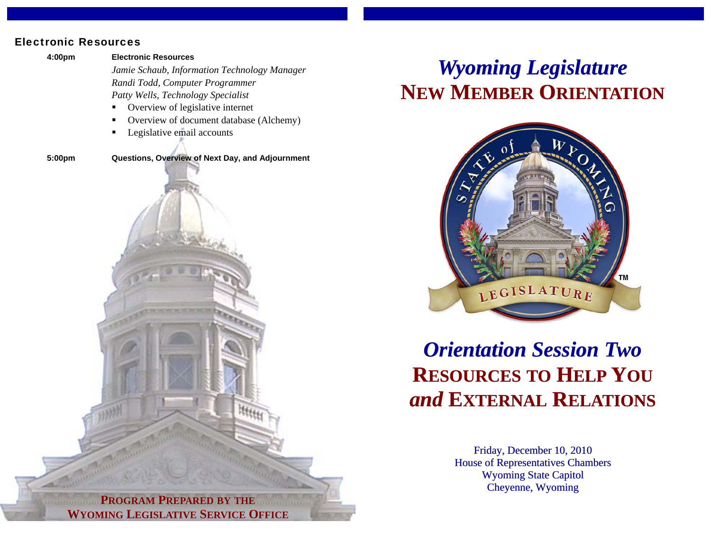## Electronic Resources

 **4:00pm Electronic Resources** 

*Jamie Schaub, Information Technology Manager Randi Todd, Computer Programmer Patty Wells, Technology Specialist* 

- Overview of legislative internet
- Overview of document database (Alchemy)
- Legislative email accounts

**5:00pm Questions, Overview of Next Day, and Adjournment** 



## *Wyoming Legislature* **NEW MEMBER ORIENTATION**



## *Orientation Session Two***RESOURCES TO HELP YOU** *and* **EXTERNAL RELATIONS**

Friday, December 10, 2010 House of Representatives Chambers Wyoming State Capitol Cheyenne, Wyoming